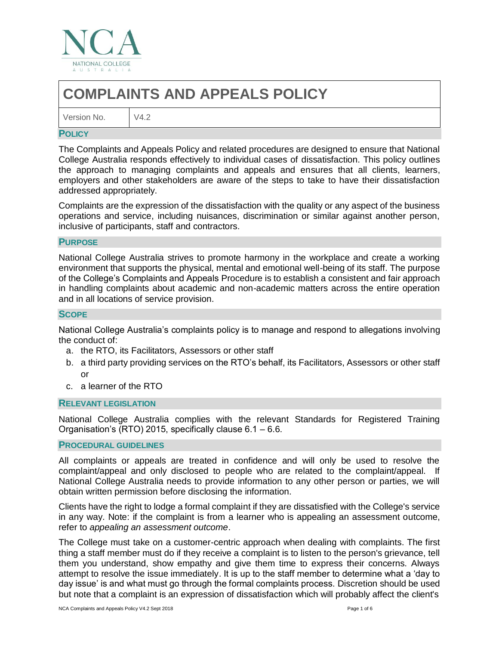

# **COMPLAINTS AND APPEALS POLICY**

Version No. V4.2

### **POLICY**

The Complaints and Appeals Policy and related procedures are designed to ensure that National College Australia responds effectively to individual cases of dissatisfaction. This policy outlines the approach to managing complaints and appeals and ensures that all clients, learners, employers and other stakeholders are aware of the steps to take to have their dissatisfaction addressed appropriately.

Complaints are the expression of the dissatisfaction with the quality or any aspect of the business operations and service, including nuisances, discrimination or similar against another person, inclusive of participants, staff and contractors.

### **PURPOSE**

National College Australia strives to promote harmony in the workplace and create a working environment that supports the physical, mental and emotional well-being of its staff. The purpose of the College's Complaints and Appeals Procedure is to establish a consistent and fair approach in handling complaints about academic and non-academic matters across the entire operation and in all locations of service provision.

#### **SCOPE**

National College Australia's complaints policy is to manage and respond to allegations involving the conduct of:

- a. the RTO, its Facilitators, Assessors or other staff
- b. a third party providing services on the RTO's behalf, its Facilitators, Assessors or other staff or
- c. a learner of the RTO

### **RELEVANT LEGISLATION**

National College Australia complies with the relevant Standards for Registered Training Organisation's (RTO) 2015, specifically clause 6.1 – 6.6.

#### **PROCEDURAL GUIDELINES**

All complaints or appeals are treated in confidence and will only be used to resolve the complaint/appeal and only disclosed to people who are related to the complaint/appeal. If National College Australia needs to provide information to any other person or parties, we will obtain written permission before disclosing the information.

Clients have the right to lodge a formal complaint if they are dissatisfied with the College's service in any way. Note: if the complaint is from a learner who is appealing an assessment outcome, refer to *appealing an assessment outcome*.

The College must take on a customer-centric approach when dealing with complaints. The first thing a staff member must do if they receive a complaint is to listen to the person's grievance, tell them you understand, show empathy and give them time to express their concerns. Always attempt to resolve the issue immediately. It is up to the staff member to determine what a 'day to day issue' is and what must go through the formal complaints process. Discretion should be used but note that a complaint is an expression of dissatisfaction which will probably affect the client's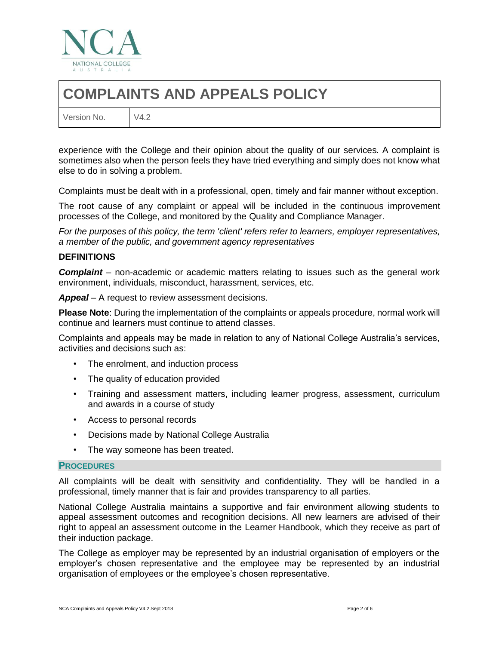

# **COMPLAINTS AND APPEALS POLICY**

Version No. V4.2

experience with the College and their opinion about the quality of our services. A complaint is sometimes also when the person feels they have tried everything and simply does not know what else to do in solving a problem.

Complaints must be dealt with in a professional, open, timely and fair manner without exception.

The root cause of any complaint or appeal will be included in the continuous improvement processes of the College, and monitored by the Quality and Compliance Manager.

*For the purposes of this policy, the term 'client' refers refer to learners, employer representatives, a member of the public, and government agency representatives*

### **DEFINITIONS**

*Complaint* – non-academic or academic matters relating to issues such as the general work environment, individuals, misconduct, harassment, services, etc.

*Appeal* – A request to review assessment decisions.

**Please Note**: During the implementation of the complaints or appeals procedure, normal work will continue and learners must continue to attend classes.

Complaints and appeals may be made in relation to any of National College Australia's services, activities and decisions such as:

- The enrolment, and induction process
- The quality of education provided
- Training and assessment matters, including learner progress, assessment, curriculum and awards in a course of study
- Access to personal records
- Decisions made by National College Australia
- The way someone has been treated.

### **PROCEDURES**

All complaints will be dealt with sensitivity and confidentiality. They will be handled in a professional, timely manner that is fair and provides transparency to all parties.

National College Australia maintains a supportive and fair environment allowing students to appeal assessment outcomes and recognition decisions. All new learners are advised of their right to appeal an assessment outcome in the Learner Handbook, which they receive as part of their induction package.

The College as employer may be represented by an industrial organisation of employers or the employer's chosen representative and the employee may be represented by an industrial organisation of employees or the employee's chosen representative.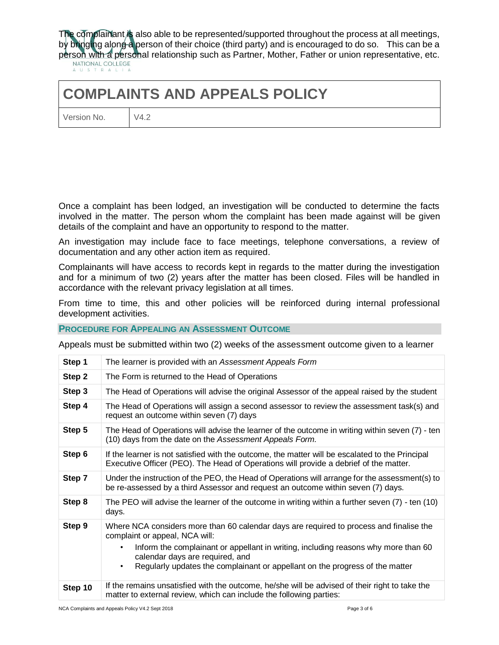The complainant is also able to be represented/supported throughout the process at all meetings, by bringing along a person of their choice (third party) and is encouraged to do so. This can be a person with a personal relationship such as Partner, Mother, Father or union representative, etc.<br>NATIONAL COLLEGE

AUSTRALIA

## **COMPLAINTS AND APPEALS POLICY**

Version No. V4.2

Once a complaint has been lodged, an investigation will be conducted to determine the facts involved in the matter. The person whom the complaint has been made against will be given details of the complaint and have an opportunity to respond to the matter.

An investigation may include face to face meetings, telephone conversations, a review of documentation and any other action item as required.

Complainants will have access to records kept in regards to the matter during the investigation and for a minimum of two (2) years after the matter has been closed. Files will be handled in accordance with the relevant privacy legislation at all times.

From time to time, this and other policies will be reinforced during internal professional development activities.

**PROCEDURE FOR APPEALING AN ASSESSMENT OUTCOME**

Appeals must be submitted within two (2) weeks of the assessment outcome given to a learner

| Step 1  | The learner is provided with an Assessment Appeals Form                                                                                                                                                                                                                                                                                 |  |  |
|---------|-----------------------------------------------------------------------------------------------------------------------------------------------------------------------------------------------------------------------------------------------------------------------------------------------------------------------------------------|--|--|
| Step 2  | The Form is returned to the Head of Operations                                                                                                                                                                                                                                                                                          |  |  |
| Step 3  | The Head of Operations will advise the original Assessor of the appeal raised by the student                                                                                                                                                                                                                                            |  |  |
| Step 4  | The Head of Operations will assign a second assessor to review the assessment task(s) and<br>request an outcome within seven (7) days                                                                                                                                                                                                   |  |  |
| Step 5  | The Head of Operations will advise the learner of the outcome in writing within seven (7) - ten<br>(10) days from the date on the Assessment Appeals Form.                                                                                                                                                                              |  |  |
| Step 6  | If the learner is not satisfied with the outcome, the matter will be escalated to the Principal<br>Executive Officer (PEO). The Head of Operations will provide a debrief of the matter.                                                                                                                                                |  |  |
| Step 7  | Under the instruction of the PEO, the Head of Operations will arrange for the assessment(s) to<br>be re-assessed by a third Assessor and request an outcome within seven (7) days.                                                                                                                                                      |  |  |
| Step 8  | The PEO will advise the learner of the outcome in writing within a further seven $(7)$ - ten $(10)$<br>days.                                                                                                                                                                                                                            |  |  |
| Step 9  | Where NCA considers more than 60 calendar days are required to process and finalise the<br>complaint or appeal, NCA will:<br>Inform the complainant or appellant in writing, including reasons why more than 60<br>calendar days are required, and<br>Regularly updates the complainant or appellant on the progress of the matter<br>٠ |  |  |
| Step 10 | If the remains unsatisfied with the outcome, he/she will be advised of their right to take the<br>matter to external review, which can include the following parties:                                                                                                                                                                   |  |  |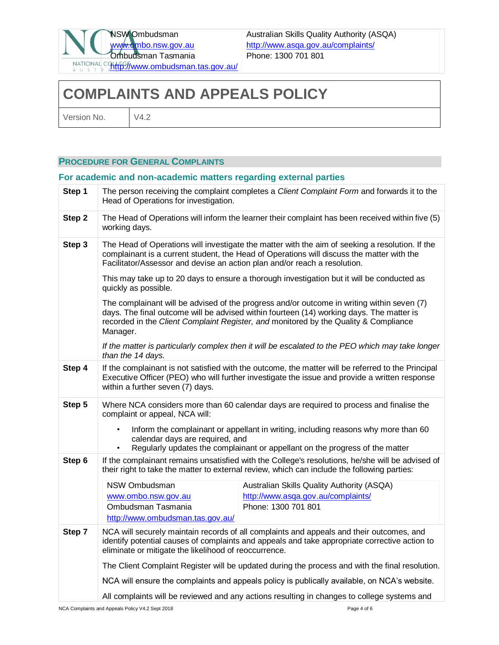

Australian Skills Quality Authority (ASQA) <http://www.asqa.gov.au/complaints/> Phone: 1300 701 801

# **COMPLAINTS AND APPEALS POLICY**

Version No.  $V4.2$ 

### **PROCEDURE FOR GENERAL COMPLAINTS**

### **For academic and non-academic matters regarding external parties**

| Step 1 | The person receiving the complaint completes a Client Complaint Form and forwards it to the<br>Head of Operations for investigation.                                                                                                                                                       |                                                                                                         |  |  |  |  |
|--------|--------------------------------------------------------------------------------------------------------------------------------------------------------------------------------------------------------------------------------------------------------------------------------------------|---------------------------------------------------------------------------------------------------------|--|--|--|--|
| Step 2 | The Head of Operations will inform the learner their complaint has been received within five (5)<br>working days.                                                                                                                                                                          |                                                                                                         |  |  |  |  |
| Step 3 | The Head of Operations will investigate the matter with the aim of seeking a resolution. If the<br>complainant is a current student, the Head of Operations will discuss the matter with the<br>Facilitator/Assessor and devise an action plan and/or reach a resolution.                  |                                                                                                         |  |  |  |  |
|        | This may take up to 20 days to ensure a thorough investigation but it will be conducted as<br>quickly as possible.                                                                                                                                                                         |                                                                                                         |  |  |  |  |
|        | The complainant will be advised of the progress and/or outcome in writing within seven (7)<br>days. The final outcome will be advised within fourteen (14) working days. The matter is<br>recorded in the Client Complaint Register, and monitored by the Quality & Compliance<br>Manager. |                                                                                                         |  |  |  |  |
|        | If the matter is particularly complex then it will be escalated to the PEO which may take longer<br>than the 14 days.                                                                                                                                                                      |                                                                                                         |  |  |  |  |
| Step 4 | If the complainant is not satisfied with the outcome, the matter will be referred to the Principal<br>Executive Officer (PEO) who will further investigate the issue and provide a written response<br>within a further seven (7) days.                                                    |                                                                                                         |  |  |  |  |
| Step 5 | Where NCA considers more than 60 calendar days are required to process and finalise the<br>complaint or appeal, NCA will:                                                                                                                                                                  |                                                                                                         |  |  |  |  |
|        | Inform the complainant or appellant in writing, including reasons why more than 60<br>calendar days are required, and<br>Regularly updates the complainant or appellant on the progress of the matter<br>$\bullet$                                                                         |                                                                                                         |  |  |  |  |
| Step 6 | If the complainant remains unsatisfied with the College's resolutions, he/she will be advised of<br>their right to take the matter to external review, which can include the following parties:                                                                                            |                                                                                                         |  |  |  |  |
|        | NSW Ombudsman<br>www.ombo.nsw.gov.au<br>Ombudsman Tasmania<br>http://www.ombudsman.tas.gov.au/                                                                                                                                                                                             | Australian Skills Quality Authority (ASQA)<br>http://www.asqa.gov.au/complaints/<br>Phone: 1300 701 801 |  |  |  |  |
| Step 7 | NCA will securely maintain records of all complaints and appeals and their outcomes, and<br>identify potential causes of complaints and appeals and take appropriate corrective action to<br>eliminate or mitigate the likelihood of reoccurrence.                                         |                                                                                                         |  |  |  |  |
|        | The Client Complaint Register will be updated during the process and with the final resolution.                                                                                                                                                                                            |                                                                                                         |  |  |  |  |
|        | NCA will ensure the complaints and appeals policy is publically available, on NCA's website.                                                                                                                                                                                               |                                                                                                         |  |  |  |  |
|        | All complaints will be reviewed and any actions resulting in changes to college systems and                                                                                                                                                                                                |                                                                                                         |  |  |  |  |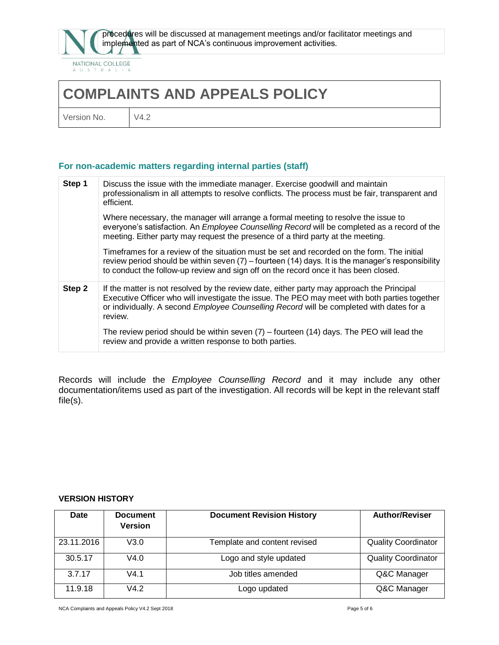

procedures will be discussed at management meetings and/or facilitator meetings and implemented as part of NCA's continuous improvement activities.

NATIONAL COLLEGE AUSTRALIA

## **COMPLAINTS AND APPEALS POLICY**

Version No. V4.2

### **For non-academic matters regarding internal parties (staff)**

| Step 1 | Discuss the issue with the immediate manager. Exercise goodwill and maintain<br>professionalism in all attempts to resolve conflicts. The process must be fair, transparent and<br>efficient.                                                                                                            |
|--------|----------------------------------------------------------------------------------------------------------------------------------------------------------------------------------------------------------------------------------------------------------------------------------------------------------|
|        | Where necessary, the manager will arrange a formal meeting to resolve the issue to<br>everyone's satisfaction. An <i>Employee Counselling Record</i> will be completed as a record of the<br>meeting. Either party may request the presence of a third party at the meeting.                             |
|        | Timeframes for a review of the situation must be set and recorded on the form. The initial<br>review period should be within seven $(7)$ – fourteen $(14)$ days. It is the manager's responsibility<br>to conduct the follow-up review and sign off on the record once it has been closed.               |
| Step 2 | If the matter is not resolved by the review date, either party may approach the Principal<br>Executive Officer who will investigate the issue. The PEO may meet with both parties together<br>or individually. A second <i>Employee Counselling Record</i> will be completed with dates for a<br>review. |
|        | The review period should be within seven (7) – fourteen (14) days. The PEO will lead the<br>review and provide a written response to both parties.                                                                                                                                                       |

Records will include the *Employee Counselling Record* and it may include any other documentation/items used as part of the investigation. All records will be kept in the relevant staff file(s).

### **VERSION HISTORY**

| <b>Date</b> | <b>Document</b><br><b>Version</b> | <b>Document Revision History</b> | <b>Author/Reviser</b>      |
|-------------|-----------------------------------|----------------------------------|----------------------------|
| 23.11.2016  | V3.0                              | Template and content revised     | <b>Quality Coordinator</b> |
| 30.5.17     | V4.0                              | Logo and style updated           | <b>Quality Coordinator</b> |
| 3.7.17      | V4.1                              | Job titles amended               | Q&C Manager                |
| 11.9.18     | V4.2                              | Logo updated                     | Q&C Manager                |

NCA Complaints and Appeals Policy V4.2 Sept 2018 **Page 5 of 6** and 30 and 30 and 30 and 30 and 30 and 30 and 30 and 30 and 30 and 30 and 30 and 30 and 30 and 30 and 30 and 30 and 30 and 30 and 30 and 30 and 30 and 30 and 3